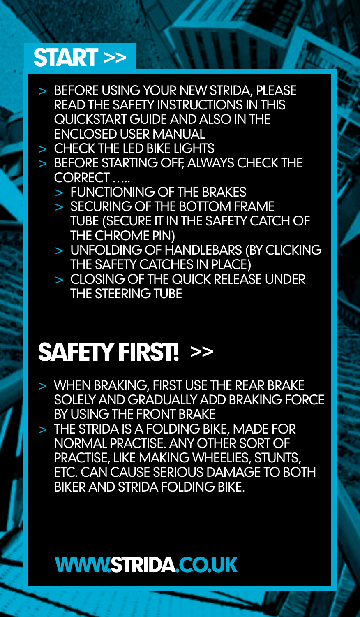#### START >>

- > Before using your new Strida, please read the safety instructions in this Quickstart Guide and also in the enclosed User Manual
- $>$  CHECK THE LED BIKE LIGHTS
- > BEFORE STARTING OFF ALWAYS CHECK THE correct …..
	- > functioning of the brakes
	- > securing of the bottom frame tube (secure it in the safety catch of the chrome pin)
	- > unfolding of handlebars (by clicking the safety catches in place)
	- > closing of the quick release under the steering tube

#### Safety first! >>

- > When braking, first use the rear brake solely and gradually add braking force by using the front brake
- $>$  THE STRIDA IS A FOI DING BIKE, MADE FOR normal practise. Any other sort of practise, like making wheelies, stunts, etc. can cause serious damage to both biker and Strida folding bike.

#### WWW.STRIDA.CO.UK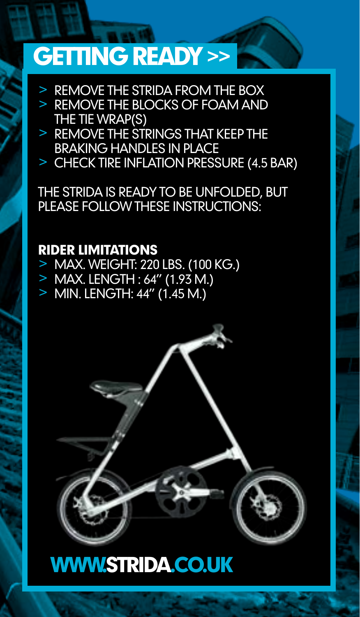#### GETTING READY >>

- > Remove the Strida from the box
- > REMOVE THE BLOCKS OF FOAM AND<br>THE TIE WRAP(S)
- > REMOVE THE STRINGS THAT KEEP THE STRINGS THAT KEEP THE
- $\geq$  CHECK TIRE INFLATION PRESSURE (4.5 BAR)

The Strida is ready to be unfolded, but please follow these instructions:

#### Rider limitations

- <sup>&</sup>gt; Max. weight: 220 lbs. (100 kg.) <sup>&</sup>gt; Max. length : 64" (1.93 m.)
- 
- > Min. length: 44" (1.45 m.)



#### WWW.STRIDA.CO.UK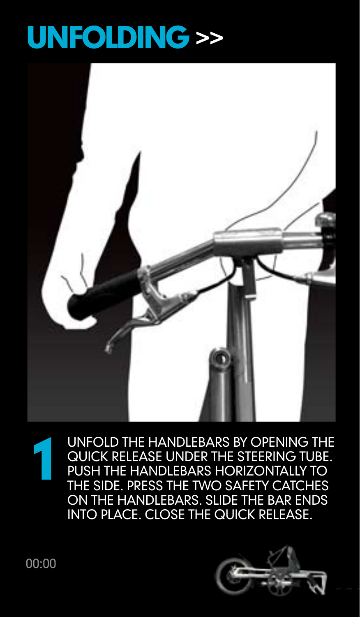## UNFOLDING >>



Unfold the handlebars by opening the quick release under the steering tube. Push the handlebars horizontally to the side. Press the two safety catches on the handlebars. Slide the bar ends into place. Close the quick release. 1

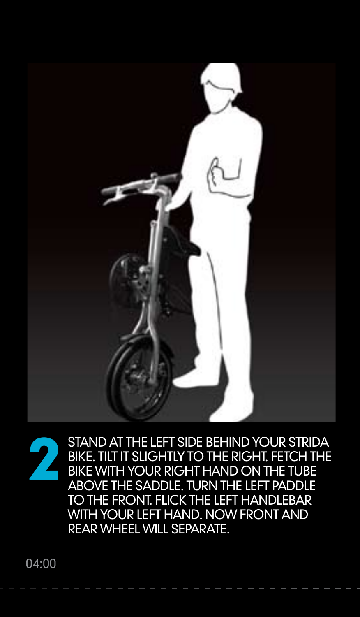



Stand at the left side behind your Strida bike. Tilt it slightly to the right. Fetch the bike with your right hand on the tube above the saddle. Turn the left paddle to the front. Flick the left handlebar WITH YOUR LEFT HAND. NOW FRONT AND rear wheel will separate.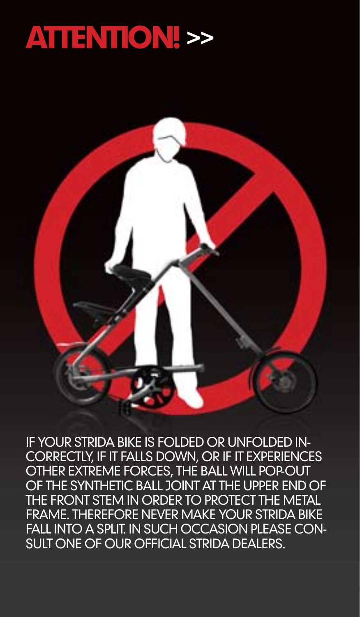#### ATTENTION! >>

If your Strida bike is folded or unfolded incorrectly, if it falls down, or if it experiences other extreme forces, the ball will pop-out of the synthetic ball joint at the upper end of the front stem in order to protect the metal frame. Therefore never make your Strida bike fall into a split. In such occasion please consult one of our official Strida dealers.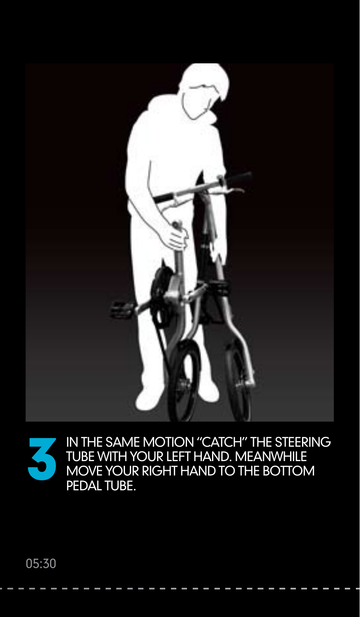

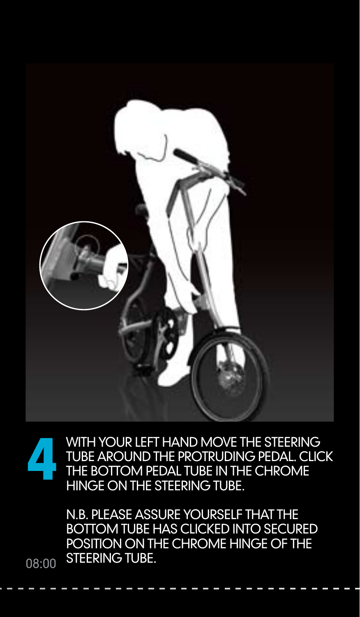

WITH YOUR LEFT HAND MOVE THE STEERING tube around the protruding pedal. Click the bottom pedal tube in the chrome hinge on the steering tube. 4

> N.B. Please assure yourself that the bottom tube has clicked into secured position on the chrome hinge of the steering tube.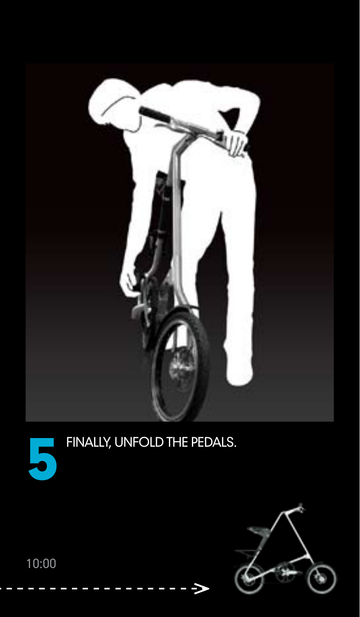



# FINALLY, UNFOLD THE PEDALS.

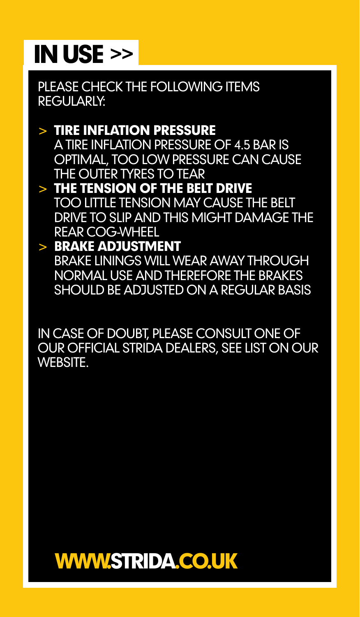#### IN USE >>

PLEASE CHECK THE FOLLOWING ITEMS RFGULARIY

> Tire inflation pressure A tire inflation pressure of 4.5 bar is optimal, too low pressure can cause THE OI ITER TYRES TO TEAR > The tension of the belt drive Too little tension may cause the belt

drive to slip and this might damage the rear cog-wheel

#### > Brake adjustment Brake linings will wear away through normal use and therefore the brakes SHOULD BE ADJUSTED ON A REGULAR BASIS

In case of doubt, please consult one of our official Strida dealers, see list on our **WERSITE** 

#### WWW.STRIDA.CO.UK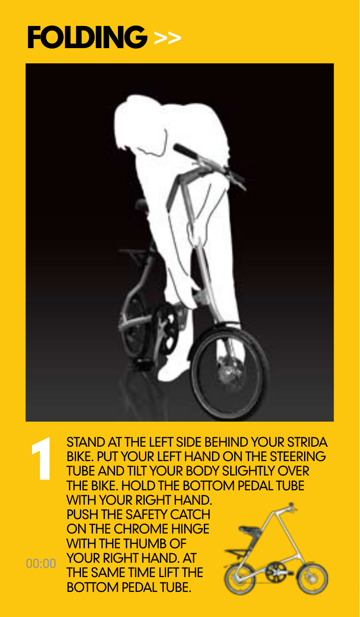#### **FOLDING >>**



STAND AT THE LEFT SIDE BEHIND YOUR STRIDA BIKE. PUT YOUR LEFT HAND ON THE STEERING tube and tilt your body slightly over THE BIKE. HOLD THE BOTTOM PEDAL TUBE 1

WITH YOUR RIGHT HAND. PUSH THE SAFFTY CATCH ON THE CHROME HINGE WITH THE THUMB OF YOUR RIGHT HAND AT the same time lift the BOTTOM PEDAL TUBE.

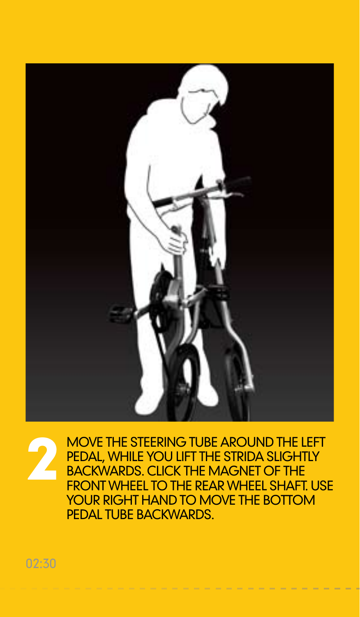

Move the steering tube around the left pedal, while you lift the Strida slightly backwards. Click the magnet of the **FRONT WHEEL TO THE REAR WHEEL SHAFT LISE** your right hand to move the bottom pedal tube backwards. 2

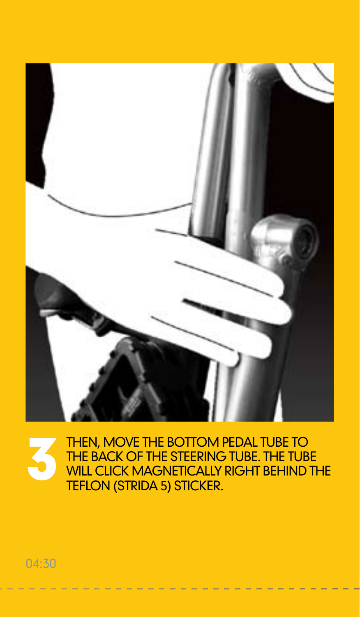

Then, move the bottom pedal tube to the back of the steering tube. The tube THEN, MOVE THE BOTTOM PEDAL TUBE TO<br>THE BACK OF THE STEERING TUBE. THE TUBE<br>WILL CLICK MAGNETICALLY RIGHT BEHIND THE<br>TEFLON (STRIDA 5) STICKER. Teflon (Strida 5) sticker.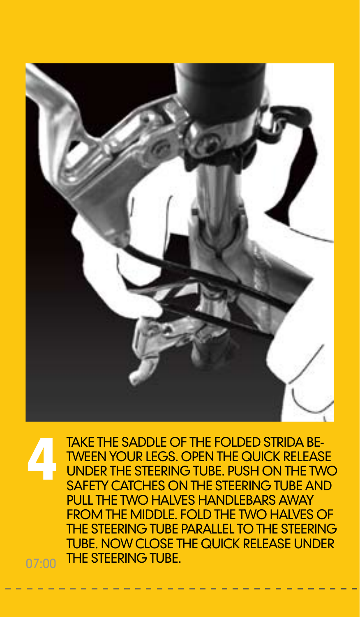

TAKE THE SADDLE OF THE FOLDED STRIDA BE-TWEEN YOUR LEGS. OPEN THE QUICK RELEASE under the steering tube. Push on the two SAFFTY CATCHES ON THE STEERING TUBE AND **PULL THE TWO HALVES HANDLEBARS AWAY** from the middle. Fold the two halves of the steering tube parallel to the steering tube. Now close the quick release under THE STEERING TURE. 4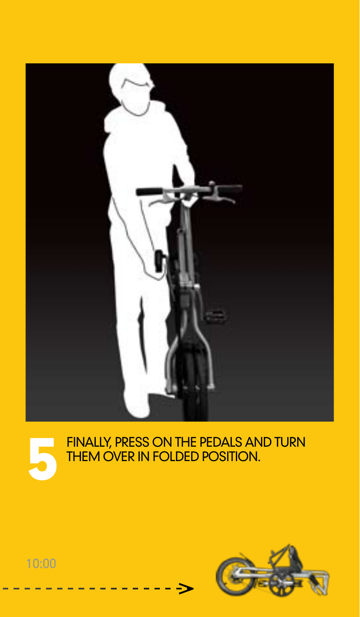





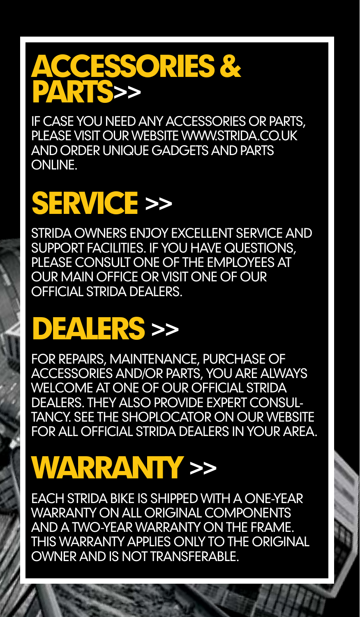#### ACCESSORIES & PARTS>>

If case you need any accessories or parts, please visit our website www.strida.CO.UK and order unique gadgets and parts online.

## SERVICE >>

Strida owners enjoy excellent service and support facilities. If you have questions, please consult one of the employees at our main office or visit one of our official Strida dealers.

#### DEALERS >>

For repairs, maintenance, purchase of accessories and/or parts, you are always WELCOME AT ONE OF OUR OFFICIAL STRIDA dealers. They also provide expert consul-TANCY SEE THE SHOPLOCATOR ON OLIP WEBSITE for all official Strida dealers in your area.

#### WARRANTY >>

Each Strida bike is shipped with a one-year WARRANTY ON ALL ORIGINAL COMPONENTS and a two-year warranty on the frame. This warranty applies only to the original owner and is not transferable.